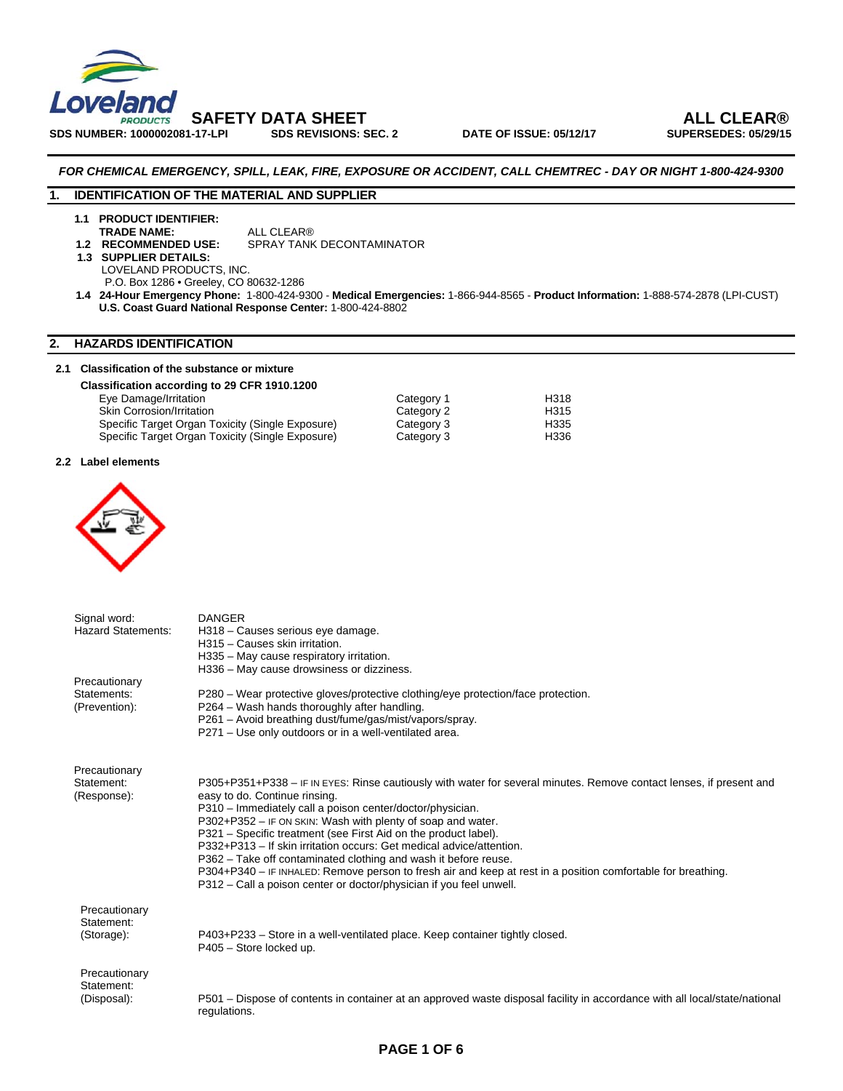

#### *FOR CHEMICAL EMERGENCY, SPILL, LEAK, FIRE, EXPOSURE OR ACCIDENT, CALL CHEMTREC - DAY OR NIGHT 1-800-424-9300*

#### **1. IDENTIFICATION OF THE MATERIAL AND SUPPLIER**

**1.1 PRODUCT IDENTIFIER: TRADE NAME:** ALL CLEAR®<br>**1.2 RECOMMENDED USE:** SPRAY TANK

**SPRAY TANK DECONTAMINATOR** 

 **1.3 SUPPLIER DETAILS:** LOVELAND PRODUCTS, INC.

P.O. Box 1286 • Greeley, CO 80632-1286

 **1.4 24-Hour Emergency Phone:** 1-800-424-9300 - **Medical Emergencies:** 1-866-944-8565 - **Product Information:** 1-888-574-2878 (LPI-CUST) **U.S. Coast Guard National Response Center:** 1-800-424-8802

#### **2. HAZARDS IDENTIFICATION**

#### **2.1 Classification of the substance or mixture**

| Classification according to 29 CFR 1910.1200     |            |      |
|--------------------------------------------------|------------|------|
| Eye Damage/Irritation                            | Category 1 | H318 |
| <b>Skin Corrosion/Irritation</b>                 | Category 2 | H315 |
| Specific Target Organ Toxicity (Single Exposure) | Category 3 | H335 |
| Specific Target Organ Toxicity (Single Exposure) | Category 3 | H336 |

#### **2.2 Label elements**



| Signal word:              | <b>DANGER</b>                                                                                                              |
|---------------------------|----------------------------------------------------------------------------------------------------------------------------|
| <b>Hazard Statements:</b> | H318 - Causes serious eye damage.                                                                                          |
|                           | H315 - Causes skin irritation.                                                                                             |
|                           | H335 - May cause respiratory irritation.                                                                                   |
|                           | H336 - May cause drowsiness or dizziness.                                                                                  |
| Precautionary             |                                                                                                                            |
| Statements:               | P280 - Wear protective gloves/protective clothing/eye protection/face protection.                                          |
| (Prevention):             | P264 – Wash hands thoroughly after handling.                                                                               |
|                           | P261 - Avoid breathing dust/fume/gas/mist/vapors/spray.                                                                    |
|                           | P271 - Use only outdoors or in a well-ventilated area.                                                                     |
|                           |                                                                                                                            |
| Precautionary             |                                                                                                                            |
| Statement:                | P305+P351+P338 – IF IN EYES: Rinse cautiously with water for several minutes. Remove contact lenses, if present and        |
| (Response):               | easy to do. Continue rinsing.                                                                                              |
|                           | P310 - Immediately call a poison center/doctor/physician.                                                                  |
|                           | P302+P352 - IF ON SKIN: Wash with plenty of soap and water.                                                                |
|                           | P321 – Specific treatment (see First Aid on the product label).                                                            |
|                           | P332+P313 - If skin irritation occurs: Get medical advice/attention.                                                       |
|                           | P362 - Take off contaminated clothing and wash it before reuse.                                                            |
|                           | P304+P340 - IF INHALED: Remove person to fresh air and keep at rest in a position comfortable for breathing.               |
|                           | P312 – Call a poison center or doctor/physician if you feel unwell.                                                        |
| Precautionary             |                                                                                                                            |
| Statement:                |                                                                                                                            |
| (Storage):                | P403+P233 – Store in a well-ventilated place. Keep container tightly closed.                                               |
|                           | P405 - Store locked up.                                                                                                    |
|                           |                                                                                                                            |
| Precautionary             |                                                                                                                            |
| Statement:                |                                                                                                                            |
| (Disposal):               | P501 – Dispose of contents in container at an approved waste disposal facility in accordance with all local/state/national |
|                           | regulations.                                                                                                               |

### **PAGE 1 OF 6**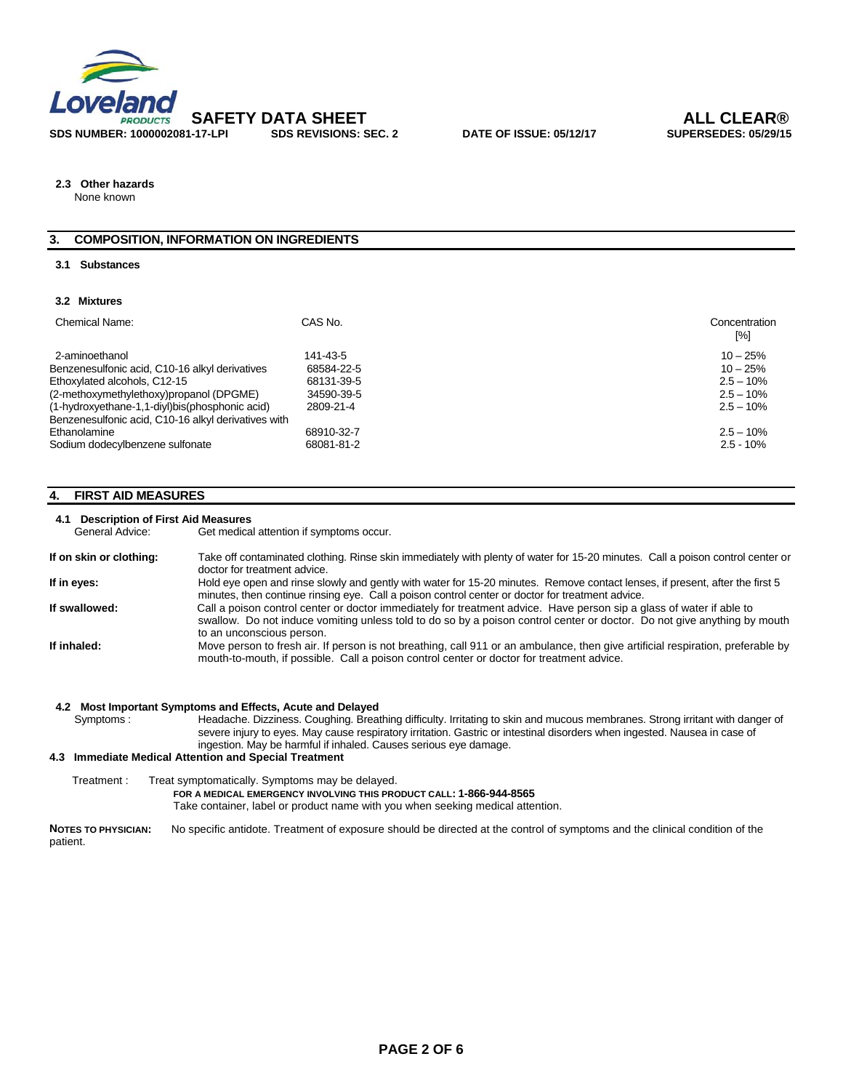

**2.3 Other hazards** 

None known

#### **3. COMPOSITION, INFORMATION ON INGREDIENTS**

#### **3.1 Substances**

#### **3.2 Mixtures**

| Chemical Name:                                      | CAS No.    | Concentration<br>[%] |
|-----------------------------------------------------|------------|----------------------|
| 2-aminoethanol                                      | 141-43-5   | $10 - 25%$           |
| Benzenesulfonic acid, C10-16 alkyl derivatives      | 68584-22-5 | $10 - 25%$           |
| Ethoxylated alcohols, C12-15                        | 68131-39-5 | $2.5 - 10%$          |
| (2-methoxymethylethoxy)propanol (DPGME)             | 34590-39-5 | $2.5 - 10%$          |
| (1-hydroxyethane-1,1-diyl)bis(phosphonic acid)      | 2809-21-4  | $2.5 - 10\%$         |
| Benzenesulfonic acid, C10-16 alkyl derivatives with |            |                      |
| Ethanolamine                                        | 68910-32-7 | $2.5 - 10\%$         |
| Sodium dodecylbenzene sulfonate                     | 68081-81-2 | $2.5 - 10%$          |

#### **4. FIRST AID MEASURES**

## **4.1 Description of First Aid Measures**

Get medical attention if symptoms occur.

| If on skin or clothing: | Take off contaminated clothing. Rinse skin immediately with plenty of water for 15-20 minutes. Call a poison control center or<br>doctor for treatment advice.                                                                                                                |
|-------------------------|-------------------------------------------------------------------------------------------------------------------------------------------------------------------------------------------------------------------------------------------------------------------------------|
| If in eyes:             | Hold eye open and rinse slowly and gently with water for 15-20 minutes. Remove contact lenses, if present, after the first 5<br>minutes, then continue rinsing eye. Call a poison control center or doctor for treatment advice.                                              |
| If swallowed:           | Call a poison control center or doctor immediately for treatment advice. Have person sip a glass of water if able to<br>swallow. Do not induce vomiting unless told to do so by a poison control center or doctor. Do not give anything by mouth<br>to an unconscious person. |
| If inhaled:             | Move person to fresh air. If person is not breathing, call 911 or an ambulance, then give artificial respiration, preferable by<br>mouth-to-mouth, if possible. Call a poison control center or doctor for treatment advice.                                                  |

|             | 4.2 Most Important Symptoms and Effects, Acute and Delayed                                                                                                                                                                                                                                                                    |
|-------------|-------------------------------------------------------------------------------------------------------------------------------------------------------------------------------------------------------------------------------------------------------------------------------------------------------------------------------|
| Symptoms:   | Headache. Dizziness. Coughing. Breathing difficulty. Irritating to skin and mucous membranes. Strong irritant with danger of<br>severe injury to eyes. May cause respiratory irritation. Gastric or intestinal disorders when ingested. Nausea in case of<br>ingestion. May be harmful if inhaled. Causes serious eye damage. |
|             | 4.3 Immediate Medical Attention and Special Treatment                                                                                                                                                                                                                                                                         |
| Treatment : | Treat symptomatically. Symptoms may be delayed.<br>FOR A MEDICAL EMERGENCY INVOLVING THIS PRODUCT CALL: 1-866-944-8565<br>Take container, label or product name with you when seeking medical attention.                                                                                                                      |

**NOTES TO PHYSICIAN:** No specific antidote. Treatment of exposure should be directed at the control of symptoms and the clinical condition of the patient.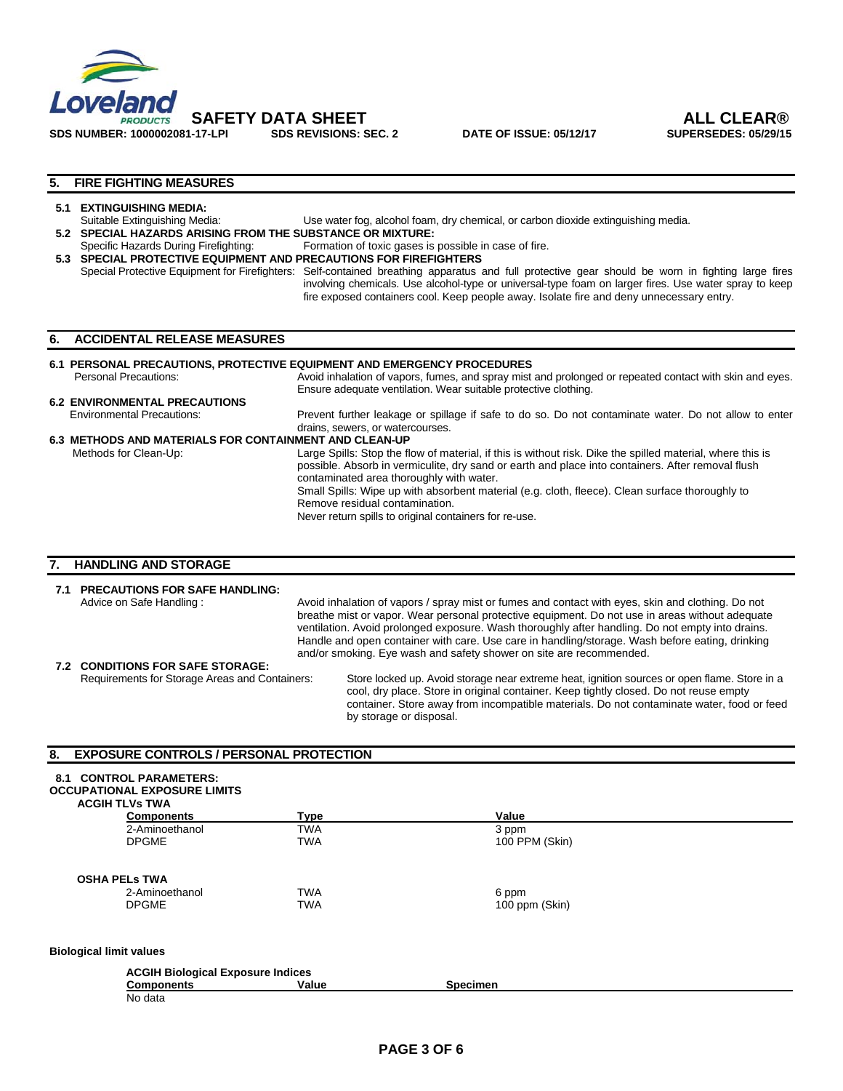

#### **5. FIRE FIGHTING MEASURES**

## **5.1 EXTINGUISHING MEDIA:**<br>Suitable Extinguishing Media:

- Use water fog, alcohol foam, dry chemical, or carbon dioxide extinguishing media. **5.2 SPECIAL HAZARDS ARISING FROM THE SUBSTANCE OR MIXTURE:**
- Specific Hazards During Firefighting: Formation of toxic gases is possible in case of fire.
- **5.3 SPECIAL PROTECTIVE EQUIPMENT AND PRECAUTIONS FOR FIREFIGHTERS**

Special Protective Equipment for Firefighters: Self-contained breathing apparatus and full protective gear should be worn in fighting large fires involving chemicals. Use alcohol-type or universal-type foam on larger fires. Use water spray to keep fire exposed containers cool. Keep people away. Isolate fire and deny unnecessary entry.

#### **6. ACCIDENTAL RELEASE MEASURES**

#### **6.1 PERSONAL PRECAUTIONS, PROTECTIVE EQUIPMENT AND EMERGENCY PROCEDURES**

Personal Precautions: **Avoid inhalation of vapors, fumes, and spray mist and prolonged or repeated contact with skin and eyes.** Ensure adequate ventilation. Wear suitable protective clothing. **6.2 ENVIRONMENTAL PRECAUTIONS**<br> **Environmental Precautions:** 

Prevent further leakage or spillage if safe to do so. Do not contaminate water. Do not allow to enter drains, sewers, or watercourses.

#### **6.3 METHODS AND MATERIALS FOR CONTAINMENT AND CLEAN-UP** Methods for Clean-Up:Large Spills: Stop the flow of material, if this is without risk. Dike the spilled material, where this is possible. Absorb in vermiculite, dry sand or earth and place into containers. After removal flush contaminated area thoroughly with water.

Small Spills: Wipe up with absorbent material (e.g. cloth, fleece). Clean surface thoroughly to Remove residual contamination.

Never return spills to original containers for re-use.

#### **7. HANDLING AND STORAGE**

No data

| 7.1 | <b>PRECAUTIONS FOR SAFE HANDLING:</b><br>Advice on Safe Handling: | Avoid inhalation of vapors / spray mist or fumes and contact with eyes, skin and clothing. Do not<br>breathe mist or vapor. Wear personal protective equipment. Do not use in areas without adequate<br>ventilation. Avoid prolonged exposure. Wash thoroughly after handling. Do not empty into drains.<br>Handle and open container with care. Use care in handling/storage. Wash before eating, drinking<br>and/or smoking. Eye wash and safety shower on site are recommended. |
|-----|-------------------------------------------------------------------|------------------------------------------------------------------------------------------------------------------------------------------------------------------------------------------------------------------------------------------------------------------------------------------------------------------------------------------------------------------------------------------------------------------------------------------------------------------------------------|
|     | 7.2 CONDITIONS FOR SAFE STORAGE:                                  |                                                                                                                                                                                                                                                                                                                                                                                                                                                                                    |
|     | Requirements for Storage Areas and Containers:                    | Store locked up. Avoid storage near extreme heat, ignition sources or open flame. Store in a<br>cool, dry place. Store in original container. Keep tightly closed. Do not reuse empty<br>container. Store away from incompatible materials. Do not contaminate water, food or feed                                                                                                                                                                                                 |

by storage or disposal.

#### **8. EXPOSURE CONTROLS / PERSONAL PROTECTION**

| 8.1                            | <b>CONTROL PARAMETERS:</b>               |            |                 |  |
|--------------------------------|------------------------------------------|------------|-----------------|--|
|                                | <b>OCCUPATIONAL EXPOSURE LIMITS</b>      |            |                 |  |
| <b>ACGIH TLVs TWA</b>          |                                          |            |                 |  |
|                                | <b>Components</b>                        | Type       | Value           |  |
|                                | 2-Aminoethanol                           | <b>TWA</b> | 3 ppm           |  |
|                                | <b>DPGME</b>                             | <b>TWA</b> | 100 PPM (Skin)  |  |
| <b>OSHA PELS TWA</b>           |                                          |            |                 |  |
|                                | 2-Aminoethanol                           | <b>TWA</b> | 6 ppm           |  |
|                                | <b>DPGME</b>                             | <b>TWA</b> | 100 ppm (Skin)  |  |
| <b>Biological limit values</b> |                                          |            |                 |  |
|                                | <b>ACGIH Biological Exposure Indices</b> |            |                 |  |
|                                | <b>Components</b>                        | Value      | <b>Specimen</b> |  |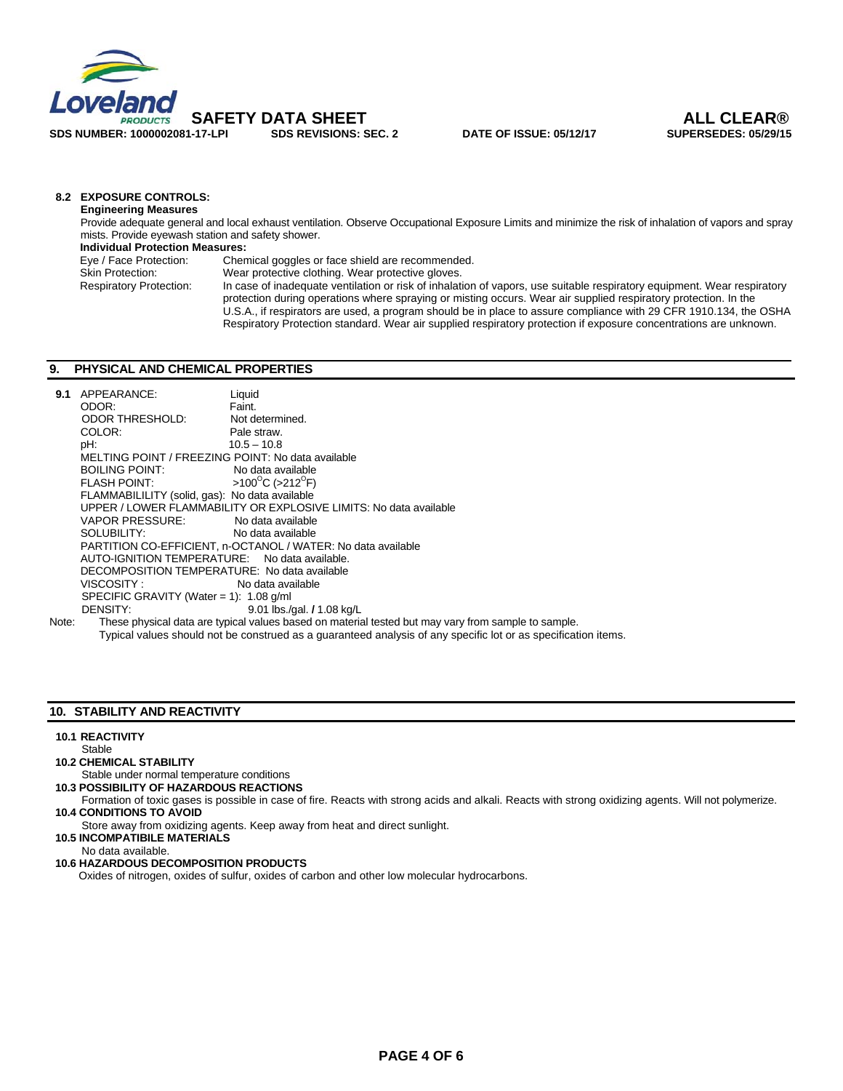

#### **8.2 EXPOSURE CONTROLS:**

**Engineering Measures**  Provide adequate general and local exhaust ventilation. Observe Occupational Exposure Limits and minimize the risk of inhalation of vapors and spray mists. Provide eyewash station and safety shower.

 **Individual Protection Measures:** 

| Eye / Face Protection:         | Chemical goggles or face shield are recommended.                                                                        |
|--------------------------------|-------------------------------------------------------------------------------------------------------------------------|
| <b>Skin Protection:</b>        | Wear protective clothing. Wear protective gloves.                                                                       |
| <b>Respiratory Protection:</b> | In case of inadequate ventilation or risk of inhalation of vapors, use suitable respiratory equipment. Wear respiratory |
|                                | protection during operations where spraying or misting occurs. Wear air supplied respiratory protection. In the         |
|                                | U.S.A., if respirators are used, a program should be in place to assure compliance with 29 CFR 1910.134, the OSHA       |
|                                | Respiratory Protection standard. Wear air supplied respiratory protection if exposure concentrations are unknown.       |

#### **9. PHYSICAL AND CHEMICAL PROPERTIES**

| 9.1   | APPEARANCE:                                       | Liquid                                                                                              |
|-------|---------------------------------------------------|-----------------------------------------------------------------------------------------------------|
|       | ODOR:                                             | Faint.                                                                                              |
|       | ODOR THRESHOLD:                                   | Not determined.                                                                                     |
|       | COLOR:                                            | Pale straw.                                                                                         |
|       | pH:                                               | $10.5 - 10.8$                                                                                       |
|       | MELTING POINT / FREEZING POINT: No data available |                                                                                                     |
|       | <b>BOILING POINT:</b>                             | No data available                                                                                   |
|       | <b>FLASH POINT:</b>                               | $>100^{\circ}$ C ( $>212^{\circ}$ F)                                                                |
|       | FLAMMABILILITY (solid, gas): No data available    |                                                                                                     |
|       |                                                   | UPPER / LOWER FLAMMABILITY OR EXPLOSIVE LIMITS: No data available                                   |
|       | VAPOR PRESSURE: No data available                 |                                                                                                     |
|       | SOLUBILITY: No data available                     |                                                                                                     |
|       |                                                   | PARTITION CO-EFFICIENT, n-OCTANOL / WATER: No data available                                        |
|       | AUTO-IGNITION TEMPERATURE: No data available.     |                                                                                                     |
|       | DECOMPOSITION TEMPERATURE: No data available      |                                                                                                     |
|       | VISCOSITY : <b>Antique State State</b>            | No data available                                                                                   |
|       | SPECIFIC GRAVITY (Water = 1): $1.08$ g/ml         |                                                                                                     |
|       | DENSITY:                                          | 9.01 lbs./gal. / 1.08 kg/L                                                                          |
| Note: |                                                   | These physical data are typical values based on material tested but may vary from sample to sample. |

Typical values should not be construed as a guaranteed analysis of any specific lot or as specification items.

#### **10. STABILITY AND REACTIVITY**

#### **10.1 REACTIVITY**

- Stable  **10.2 CHEMICAL STABILITY**
- Stable under normal temperature conditions
- **10.3 POSSIBILITY OF HAZARDOUS REACTIONS**
- Formation of toxic gases is possible in case of fire. Reacts with strong acids and alkali. Reacts with strong oxidizing agents. Will not polymerize. **10.4 CONDITIONS TO AVOID**
- Store away from oxidizing agents. Keep away from heat and direct sunlight.

 **10.5 INCOMPATIBILE MATERIALS** 

No data available.

 **10.6 HAZARDOUS DECOMPOSITION PRODUCTS** 

Oxides of nitrogen, oxides of sulfur, oxides of carbon and other low molecular hydrocarbons.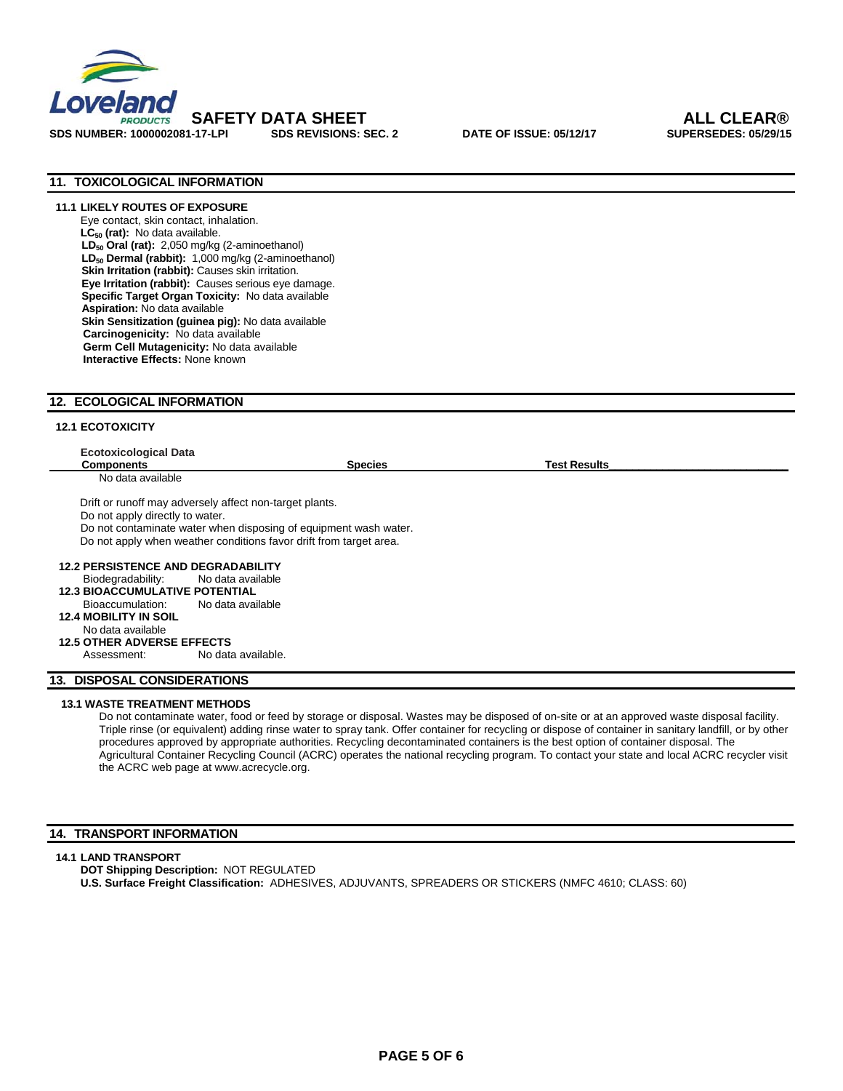

### **11. TOXICOLOGICAL INFORMATION**

**11.1 LIKELY ROUTES OF EXPOSURE**  Eye contact, skin contact, inhalation. LC<sub>50</sub> (rat): No data available. LD<sub>50</sub> Oral (rat): 2,050 mg/kg (2-aminoethanol) LD<sub>50</sub> Dermal (rabbit): 1,000 mg/kg (2-aminoethanol) **Skin Irritation (rabbit):** Causes skin irritation.  **Eye Irritation (rabbit):** Causes serious eye damage.  **Specific Target Organ Toxicity:** No data available **Aspiration:** No data available **Skin Sensitization (guinea pig):** No data available  **Carcinogenicity:** No data available **Germ Cell Mutagenicity:** No data available **Interactive Effects:** None known

#### **12. ECOLOGICAL INFORMATION**

#### **12.1 ECOTOXICITY**

| <b>Components</b>                         |                                                                    | <b>Species</b> | <b>Test Results</b> |  |
|-------------------------------------------|--------------------------------------------------------------------|----------------|---------------------|--|
| No data available                         |                                                                    |                |                     |  |
|                                           | Drift or runoff may adversely affect non-target plants.            |                |                     |  |
| Do not apply directly to water.           |                                                                    |                |                     |  |
|                                           | Do not contaminate water when disposing of equipment wash water.   |                |                     |  |
|                                           | Do not apply when weather conditions favor drift from target area. |                |                     |  |
|                                           |                                                                    |                |                     |  |
| <b>12.2 PERSISTENCE AND DEGRADABILITY</b> |                                                                    |                |                     |  |
|                                           | Biodegradability: No data available                                |                |                     |  |
| <b>12.3 BIOACCUMULATIVE POTENTIAL</b>     |                                                                    |                |                     |  |
| Bioaccumulation:                          | No data available                                                  |                |                     |  |
| <b>12.4 MOBILITY IN SOIL</b>              |                                                                    |                |                     |  |
| No data available                         |                                                                    |                |                     |  |
|                                           |                                                                    |                |                     |  |
| <b>12.5 OTHER ADVERSE EFFECTS</b>         |                                                                    |                |                     |  |

#### **13.1 WASTE TREATMENT METHODS**

Do not contaminate water, food or feed by storage or disposal. Wastes may be disposed of on-site or at an approved waste disposal facility. Triple rinse (or equivalent) adding rinse water to spray tank. Offer container for recycling or dispose of container in sanitary landfill, or by other procedures approved by appropriate authorities. Recycling decontaminated containers is the best option of container disposal. The Agricultural Container Recycling Council (ACRC) operates the national recycling program. To contact your state and local ACRC recycler visit the ACRC web page at www.acrecycle.org.

#### **14. TRANSPORT INFORMATION**

#### **14.1 LAND TRANSPORT**

**DOT Shipping Description:** NOT REGULATED **U.S. Surface Freight Classification:** ADHESIVES, ADJUVANTS, SPREADERS OR STICKERS (NMFC 4610; CLASS: 60)